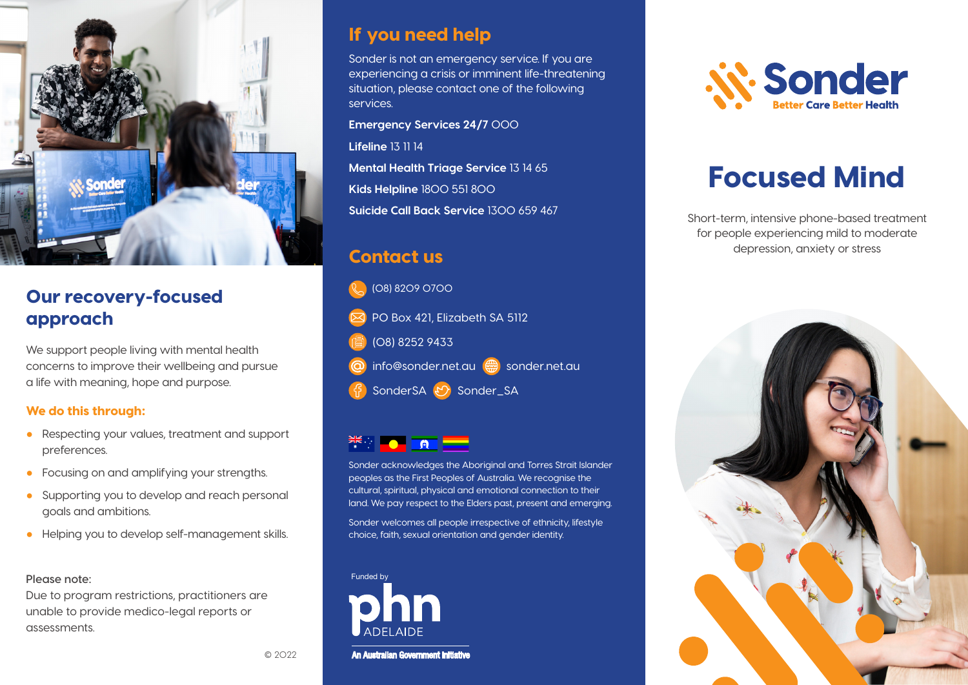

## Our recovery-focused approach

We support people living with mental health concerns to improve their wellbeing and pursue a life with meaning, hope and purpose.

#### We do this through:

- Respecting your values, treatment and support preferences.
- Focusing on and amplifying your strengths.
- Supporting you to develop and reach personal goals and ambitions.
- Helping you to develop self-management skills.

#### **Please note:**

Due to program restrictions, practitioners are unable to provide medico-legal reports or assessments.

#### If you need help

Sonder is not an emergency service. If you are experiencing a crisis or imminent life-threatening situation, please contact one of the following services.

**Emergency Services 24/7** 000 **Lifeline** 13 11 14 **Mental Health Triage Service** 13 14 65 **Kids Helpline** 1800 551 800 **Suicide Call Back Service** 1300 659 467

### Contact us



#### **EXAMPLE AT A REPORT**

Sonder acknowledges the Aboriginal and Torres Strait Islander peoples as the First Peoples of Australia. We recognise the cultural, spiritual, physical and emotional connection to their land. We pay respect to the Elders past, present and emerging.

Sonder welcomes all people irrespective of ethnicity, lifestyle choice, faith, sexual orientation and gender identity.



An Australian Government Initiative



# Focused Mind

Short-term, intensive phone-based treatment for people experiencing mild to moderate depression, anxiety or stress



© 2022